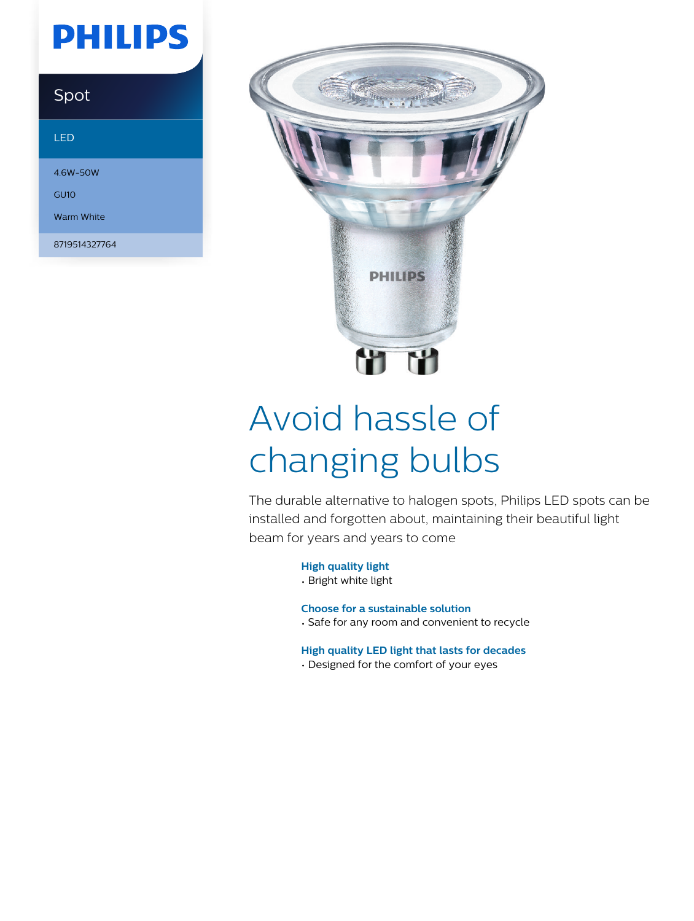# **PHILIPS**

## Spot

### LED

4.6W-50W GU10

Warm White

8719514327764



# Avoid hassle of changing bulbs

The durable alternative to halogen spots, Philips LED spots can be installed and forgotten about, maintaining their beautiful light beam for years and years to come

### **High quality light**

• Bright white light

### **Choose for a sustainable solution**

• Safe for any room and convenient to recycle

### **High quality LED light that lasts for decades**

• Designed for the comfort of your eyes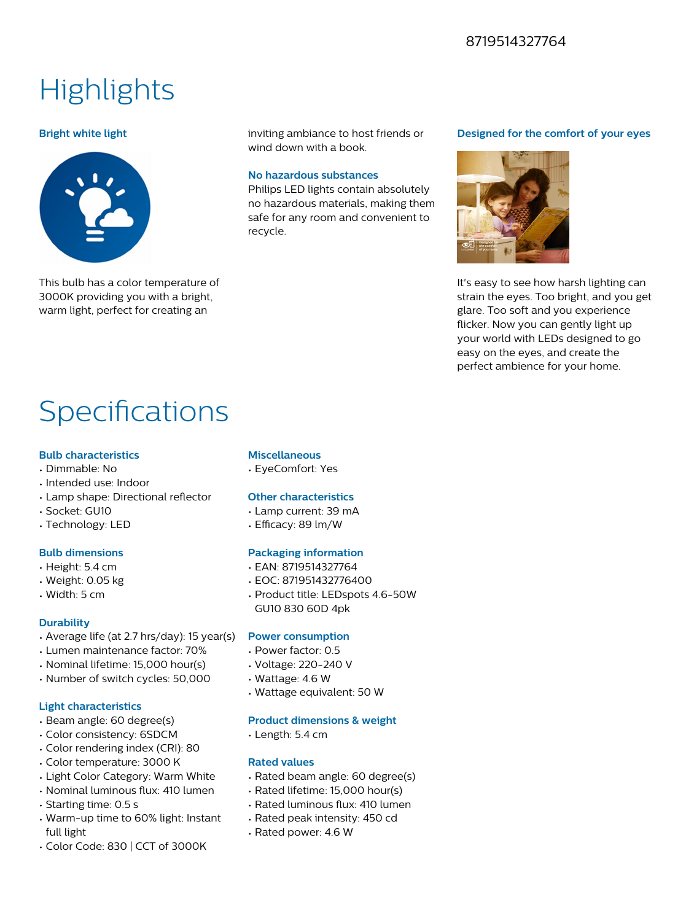### 8719514327764

# **Highlights**

#### **Bright white light**



This bulb has a color temperature of 3000K providing you with a bright, warm light, perfect for creating an

inviting ambiance to host friends or wind down with a book.

#### **No hazardous substances**

Philips LED lights contain absolutely no hazardous materials, making them safe for any room and convenient to recycle.

#### **Designed for the comfort of your eyes**



It's easy to see how harsh lighting can strain the eyes. Too bright, and you get glare. Too soft and you experience flicker. Now you can gently light up your world with LEDs designed to go easy on the eyes, and create the perfect ambience for your home.

# Specifications

#### **Bulb characteristics**

- Dimmable: No
- Intended use: Indoor
- Lamp shape: Directional reflector
- Socket: GU10
- Technology: LED

#### **Bulb dimensions**

- Height: 5.4 cm
- Weight: 0.05 kg
- Width: 5 cm

#### **Durability**

- Average life (at 2.7 hrs/day): 15 year(s)
- Lumen maintenance factor: 70%
- Nominal lifetime: 15,000 hour(s)
- Number of switch cycles: 50,000

#### **Light characteristics**

- Beam angle: 60 degree(s)
- Color consistency: 6SDCM
- Color rendering index (CRI): 80
- Color temperature: 3000 K
- Light Color Category: Warm White
- Nominal luminous flux: 410 lumen
- Starting time: 0.5 s
- Warm-up time to 60% light: Instant full light
- Color Code: 830 | CCT of 3000K

#### **Miscellaneous**

• EyeComfort: Yes

#### **Other characteristics**

- Lamp current: 39 mA
- Efficacy: 89 lm/W

#### **Packaging information**

- EAN: 8719514327764
- EOC: 871951432776400
- Product title: LEDspots 4.6-50W GU10 830 60D 4pk

#### **Power consumption**

- Power factor: 0.5
- Voltage: 220-240 V
- Wattage: 4.6 W
- Wattage equivalent: 50 W

#### **Product dimensions & weight**

• Length: 5.4 cm

#### **Rated values**

- Rated beam angle: 60 degree(s)
- Rated lifetime: 15,000 hour(s)
- Rated luminous flux: 410 lumen
- Rated peak intensity: 450 cd
- Rated power: 4.6 W